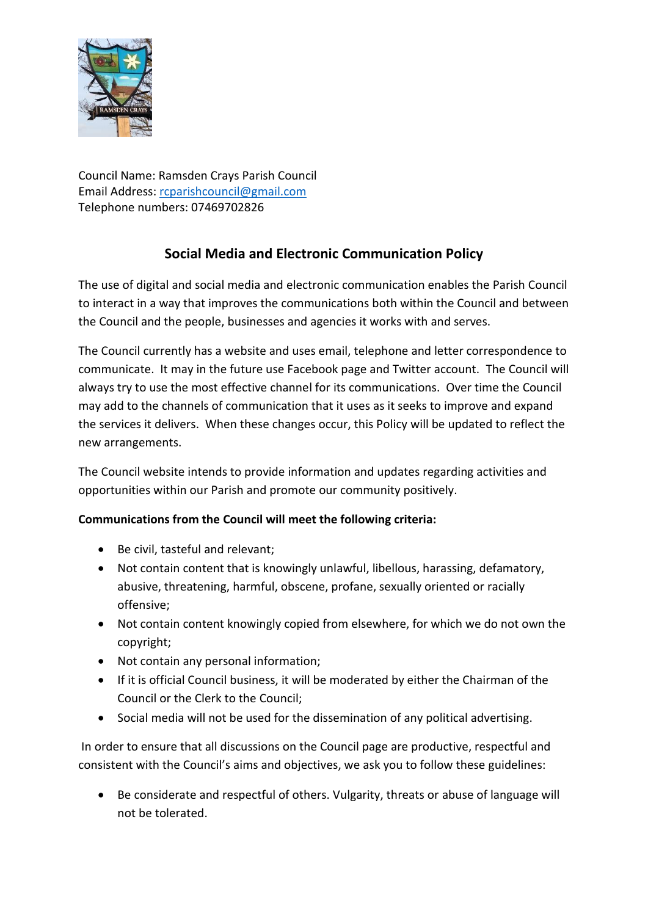

Council Name: Ramsden Crays Parish Council Email Address: [rcparishcouncil@gmail.com](mailto:rcparishcouncil@gmail.com) Telephone numbers: 07469702826

# **Social Media and Electronic Communication Policy**

The use of digital and social media and electronic communication enables the Parish Council to interact in a way that improves the communications both within the Council and between the Council and the people, businesses and agencies it works with and serves.

The Council currently has a website and uses email, telephone and letter correspondence to communicate. It may in the future use Facebook page and Twitter account. The Council will always try to use the most effective channel for its communications. Over time the Council may add to the channels of communication that it uses as it seeks to improve and expand the services it delivers. When these changes occur, this Policy will be updated to reflect the new arrangements.

The Council website intends to provide information and updates regarding activities and opportunities within our Parish and promote our community positively.

# **Communications from the Council will meet the following criteria:**

- Be civil, tasteful and relevant;
- Not contain content that is knowingly unlawful, libellous, harassing, defamatory, abusive, threatening, harmful, obscene, profane, sexually oriented or racially offensive;
- Not contain content knowingly copied from elsewhere, for which we do not own the copyright;
- Not contain any personal information;
- If it is official Council business, it will be moderated by either the Chairman of the Council or the Clerk to the Council;
- Social media will not be used for the dissemination of any political advertising.

In order to ensure that all discussions on the Council page are productive, respectful and consistent with the Council's aims and objectives, we ask you to follow these guidelines:

• Be considerate and respectful of others. Vulgarity, threats or abuse of language will not be tolerated.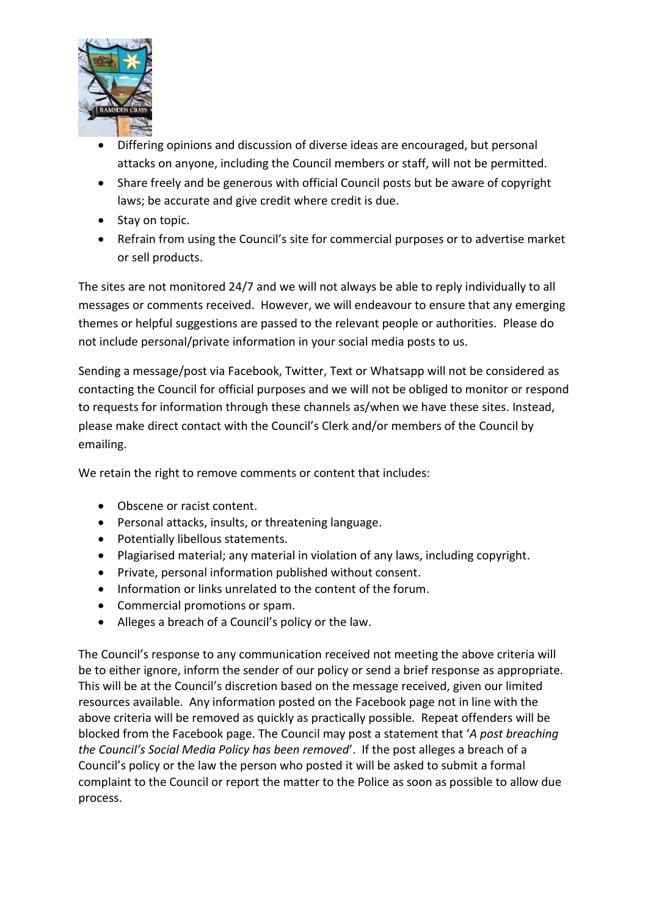

- Differing opinions and discussion of diverse ideas are encouraged, but personal attacks on anyone, including the Council members or staff, will not be permitted.
- Share freely and be generous with official Council posts but be aware of copyright laws; be accurate and give credit where credit is due.
- Stay on topic.
- Refrain from using the Council's site for commercial purposes or to advertise market or sell products.

The sites are not monitored 24/7 and we will not always be able to reply individually to all messages or comments received. However, we will endeavour to ensure that any emerging themes or helpful suggestions are passed to the relevant people or authorities. Please do not include personal/private information in your social media posts to us.

Sending a message/post via Facebook, Twitter, Text or Whatsapp will not be considered as contacting the Council for official purposes and we will not be obliged to monitor or respond to requests for information through these channels as/when we have these sites. Instead, please make direct contact with the Council's Clerk and/or members of the Council by emailing.

We retain the right to remove comments or content that includes:

- Obscene or racist content.
- Personal attacks, insults, or threatening language.
- Potentially libellous statements.
- Plagiarised material; any material in violation of any laws, including copyright.
- Private, personal information published without consent.
- Information or links unrelated to the content of the forum.
- Commercial promotions or spam.
- Alleges a breach of a Council's policy or the law.

The Council's response to any communication received not meeting the above criteria will be to either ignore, inform the sender of our policy or send a brief response as appropriate. This will be at the Council's discretion based on the message received, given our limited resources available. Any information posted on the Facebook page not in line with the above criteria will be removed as quickly as practically possible. Repeat offenders will be blocked from the Facebook page. The Council may post a statement that '*A post breaching the Council's Social Media Policy has been removed*'. If the post alleges a breach of a Council's policy or the law the person who posted it will be asked to submit a formal complaint to the Council or report the matter to the Police as soon as possible to allow due process.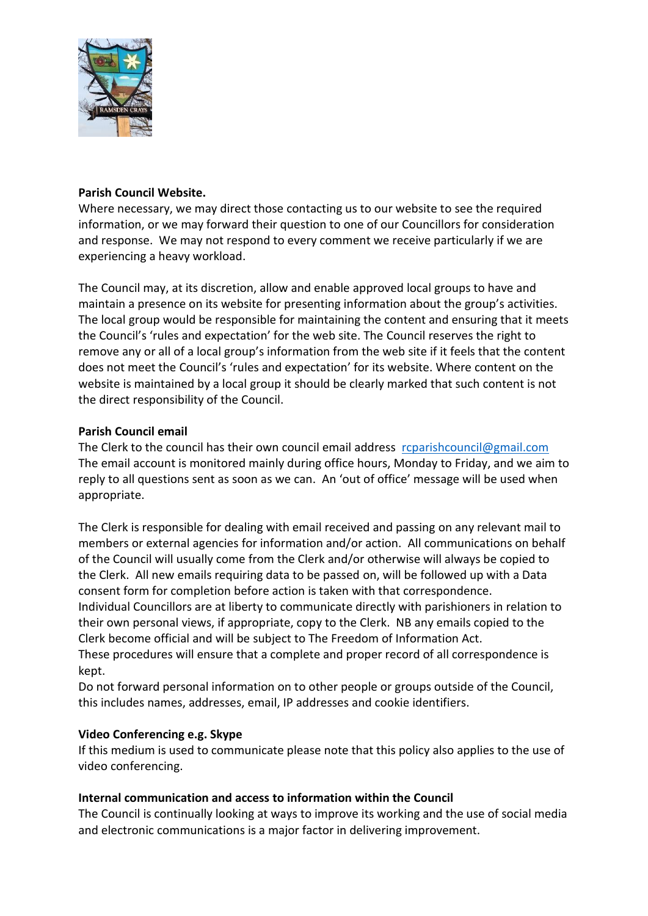

#### **Parish Council Website.**

Where necessary, we may direct those contacting us to our website to see the required information, or we may forward their question to one of our Councillors for consideration and response. We may not respond to every comment we receive particularly if we are experiencing a heavy workload.

The Council may, at its discretion, allow and enable approved local groups to have and maintain a presence on its website for presenting information about the group's activities. The local group would be responsible for maintaining the content and ensuring that it meets the Council's 'rules and expectation' for the web site. The Council reserves the right to remove any or all of a local group's information from the web site if it feels that the content does not meet the Council's 'rules and expectation' for its website. Where content on the website is maintained by a local group it should be clearly marked that such content is not the direct responsibility of the Council.

#### **Parish Council email**

The Clerk to the council has their own council email address [rcparishcouncil@gmail.com](mailto:rcparishcouncil@gmail.com) The email account is monitored mainly during office hours, Monday to Friday, and we aim to reply to all questions sent as soon as we can. An 'out of office' message will be used when appropriate.

The Clerk is responsible for dealing with email received and passing on any relevant mail to members or external agencies for information and/or action. All communications on behalf of the Council will usually come from the Clerk and/or otherwise will always be copied to the Clerk. All new emails requiring data to be passed on, will be followed up with a Data consent form for completion before action is taken with that correspondence.

Individual Councillors are at liberty to communicate directly with parishioners in relation to their own personal views, if appropriate, copy to the Clerk. NB any emails copied to the Clerk become official and will be subject to The Freedom of Information Act.

These procedures will ensure that a complete and proper record of all correspondence is kept.

Do not forward personal information on to other people or groups outside of the Council, this includes names, addresses, email, IP addresses and cookie identifiers.

## **Video Conferencing e.g. Skype**

If this medium is used to communicate please note that this policy also applies to the use of video conferencing.

## **Internal communication and access to information within the Council**

The Council is continually looking at ways to improve its working and the use of social media and electronic communications is a major factor in delivering improvement.